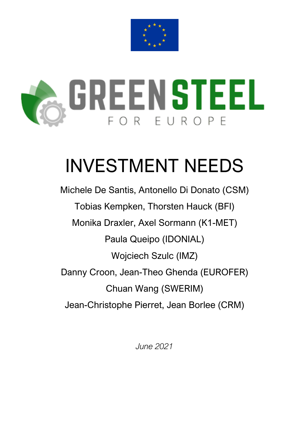



# INVESTMENT NEEDS

Michele De Santis, Antonello Di Donato (CSM) Tobias Kempken, Thorsten Hauck (BFI) Monika Draxler, Axel Sormann (K1-MET) Paula Queipo (IDONIAL) Wojciech Szulc (IMZ) Danny Croon, Jean-Theo Ghenda (EUROFER) Chuan Wang (SWERIM) Jean-Christophe Pierret, Jean Borlee (CRM)

*June 2021*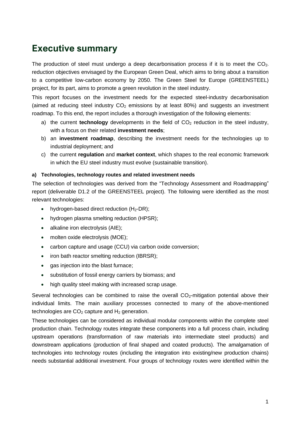## **Executive summary**

The production of steel must undergo a deep decarbonisation process if it is to meet the CO<sub>2</sub>. reduction objectives envisaged by the European Green Deal, which aims to bring about a transition to a competitive low-carbon economy by 2050. The Green Steel for Europe (GREENSTEEL) project, for its part, aims to promote a green revolution in the steel industry.

This report focuses on the investment needs for the expected steel-industry decarbonisation (aimed at reducing steel industry  $CO<sub>2</sub>$  emissions by at least 80%) and suggests an investment roadmap. To this end, the report includes a thorough investigation of the following elements:

- a) the current **technology** developments in the field of  $CO<sub>2</sub>$  reduction in the steel industry, with a focus on their related **investment needs**;
- b) an **investment roadmap**, describing the investment needs for the technologies up to industrial deployment; and
- c) the current **regulation** and **market context**, which shapes to the real economic framework in which the EU steel industry must evolve (sustainable transition).

#### **a) Technologies, technology routes and related investment needs**

The selection of technologies was derived from the "Technology Assessment and Roadmapping" report (deliverable D1.2 of the GREENSTEEL project). The following were identified as the most relevant technologies:

- hydrogen-based direct reduction  $(H_2-DR)$ ;
- hydrogen plasma smelting reduction (HPSR);
- alkaline iron electrolysis (AIE);
- molten oxide electrolysis (MOE);
- carbon capture and usage (CCU) via carbon oxide conversion;
- iron bath reactor smelting reduction (IBRSR);
- gas injection into the blast furnace;
- substitution of fossil energy carriers by biomass; and
- high quality steel making with increased scrap usage.

Several technologies can be combined to raise the overall  $CO<sub>2</sub>$ -mitigation potential above their individual limits. The main auxiliary processes connected to many of the above-mentioned technologies are  $CO<sub>2</sub>$  capture and  $H<sub>2</sub>$  generation.

These technologies can be considered as individual modular components within the complete steel production chain. Technology routes integrate these components into a full process chain, including upstream operations (transformation of raw materials into intermediate steel products) and downstream applications (production of final shaped and coated products). The amalgamation of technologies into technology routes (including the integration into existing/new production chains) needs substantial additional investment. Four groups of technology routes were identified within the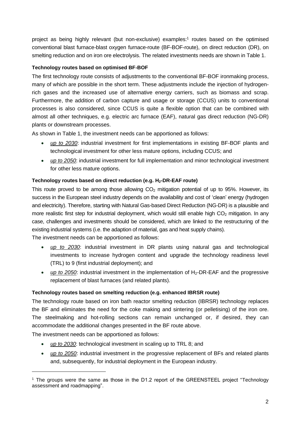project as being highly relevant (but non-exclusive) examples:<sup>1</sup> routes based on the optimised conventional blast furnace-blast oxygen furnace-route (BF-BOF-route), on direct reduction (DR), on smelting reduction and on iron ore electrolysis. The related investments needs are shown in Table 1.

#### **Technology routes based on optimised BF-BOF**

The first technology route consists of adjustments to the conventional BF-BOF ironmaking process, many of which are possible in the short term. These adjustments include the injection of hydrogenrich gases and the increased use of alternative energy carriers, such as biomass and scrap. Furthermore, the addition of carbon capture and usage or storage (CCUS) units to conventional processes is also considered, since CCUS is quite a flexible option that can be combined with almost all other techniques, e.g. electric arc furnace (EAF), natural gas direct reduction (NG-DR) plants or downstream processes.

As shown in Table 1, the investment needs can be apportioned as follows:

- *up to 2030*: industrial investment for first implementations in existing BF-BOF plants and technological investment for other less mature options, including CCUS; and
- *up to 2050*: industrial investment for full implementation and minor technological investment for other less mature options.

### **Technology routes based on direct reduction (e.g. H2-DR-EAF route)**

This route proved to be among those allowing  $CO<sub>2</sub>$  mitigation potential of up to 95%. However, its success in the European steel industry depends on the availability and cost of 'clean' energy (hydrogen and electricity). Therefore, starting with Natural Gas-based Direct Reduction (NG-DR) is a plausible and more realistic first step for industrial deployment, which would still enable high  $CO<sub>2</sub>$  mitigation. In any case, challenges and investments should be considered, which are linked to the restructuring of the existing industrial systems (i.e. the adaption of material, gas and heat supply chains). The investment needs can be apportioned as follows:

• *up to 2030*: industrial investment in DR plants using natural gas and technological investments to increase hydrogen content and upgrade the technology readiness level (TRL) to 9 (first industrial deployment); and

• *up to 2050*: industrial investment in the implementation of H<sub>2</sub>-DR-EAF and the progressive replacement of blast furnaces (and related plants).

#### **Technology routes based on smelting reduction (e.g. enhanced IBRSR route)**

The technology route based on iron bath reactor smelting reduction (IBRSR) technology replaces the BF and eliminates the need for the coke making and sintering (or pelletising) of the iron ore. The steelmaking and hot-rolling sections can remain unchanged or, if desired, they can accommodate the additional changes presented in the BF route above.

The investment needs can be apportioned as follows:

- *up to 2030*: technological investment in scaling up to TRL 8; and
- *up to 2050*: industrial investment in the progressive replacement of BFs and related plants and, subsequently, for industrial deployment in the European industry.

<sup>1</sup> The groups were the same as those in the D1.2 report of the GREENSTEEL project "Technology assessment and roadmapping".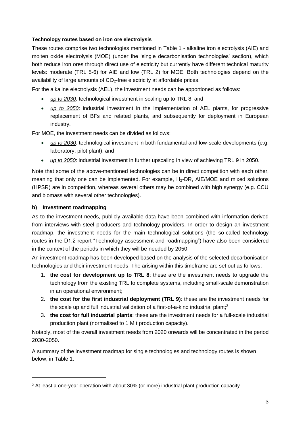#### **Technology routes based on iron ore electrolysis**

These routes comprise two technologies mentioned in Table 1 - alkaline iron electrolysis (AIE) and molten oxide electrolysis (MOE) (under the 'single decarbonisation technologies' section), which both reduce iron ores through direct use of electricity but currently have different technical maturity levels: moderate (TRL 5-6) for AIE and low (TRL 2) for MOE. Both technologies depend on the availability of large amounts of  $CO<sub>2</sub>$ -free electricity at affordable prices.

For the alkaline electrolysis (AEL), the investment needs can be apportioned as follows:

- *up to 2030*: technological investment in scaling up to TRL 8; and
- *up to 2050*: industrial investment in the implementation of AEL plants, for progressive replacement of BFs and related plants, and subsequently for deployment in European industry.

For MOE, the investment needs can be divided as follows:

- *up to 2030*: technological investment in both fundamental and low-scale developments (e.g. laboratory, pilot plant); and
- *up to 2050*: industrial investment in further upscaling in view of achieving TRL 9 in 2050.

Note that some of the above-mentioned technologies can be in direct competition with each other, meaning that only one can be implemented. For example, H2-DR, AIE/MOE and mixed solutions (HPSR) are in competition, whereas several others may be combined with high synergy (e.g. CCU and biomass with several other technologies).

#### **b) Investment roadmapping**

As to the investment needs, publicly available data have been combined with information derived from interviews with steel producers and technology providers. In order to design an investment roadmap, the investment needs for the main technological solutions (the so-called technology routes in the D1.2 report "Technology assessment and roadmapping") have also been considered in the context of the periods in which they will be needed by 2050.

An investment roadmap has been developed based on the analysis of the selected decarbonisation technologies and their investment needs. The arising within this timeframe are set out as follows:

- 1. **the cost for development up to TRL 8**: these are the investment needs to upgrade the technology from the existing TRL to complete systems, including small-scale demonstration in an operational environment;
- 2. **the cost for the first industrial deployment (TRL 9)**: these are the investment needs for the scale up and full industrial validation of a first-of-a-kind industrial plant;<sup>2</sup>
- 3. **the cost for full industrial plants**: these are the investment needs for a full-scale industrial production plant (normalised to 1 M t production capacity).

Notably, most of the overall investment needs from 2020 onwards will be concentrated in the period 2030-2050.

A summary of the investment roadmap for single technologies and technology routes is shown below, in Table 1.

<sup>2</sup> At least a one-year operation with about 30% (or more) industrial plant production capacity.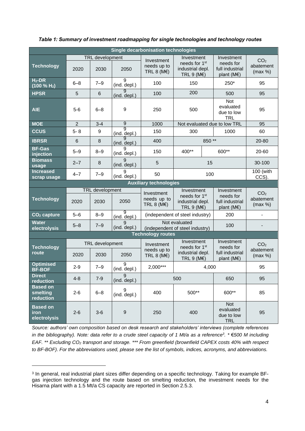| <b>Single decarbonisation technologies</b> |                 |                                |                   |                                                       |                                                                                         |     |                                                                     |                                         |
|--------------------------------------------|-----------------|--------------------------------|-------------------|-------------------------------------------------------|-----------------------------------------------------------------------------------------|-----|---------------------------------------------------------------------|-----------------------------------------|
| <b>Technology</b>                          | 2020            | <b>TRL</b> development<br>2030 | 2050              | Investment<br>needs up to<br>TRL 8 (M $\varepsilon$ ) | Investment<br>needs for 1 <sup>st</sup><br>industrial depl.<br>TRL 9 (M $\varepsilon$ ) |     | Investment<br>needs for<br>full industrial<br>plant (M $\epsilon$ ) | CO <sub>2</sub><br>abatement<br>(max %) |
| $H_2$ -DR<br>(100 % H <sub>2</sub> )       | $6 - 8$         | $7 - 9$                        | 9<br>(ind. depl.) | 100                                                   | 150                                                                                     |     | 250*                                                                | 95                                      |
| <b>HPSR</b>                                | 5               | 6                              | 9<br>(ind. depl.) | 100                                                   | 200                                                                                     |     | 500                                                                 | 95                                      |
| <b>AIE</b>                                 | $5-6$           | $6 - 8$                        | 9                 | 250                                                   | 500                                                                                     |     | <b>Not</b><br>evaluated<br>due to low<br><b>TRL</b>                 | 95                                      |
| <b>MOE</b>                                 | $\overline{2}$  | $3 - 4$                        | $\overline{9}$    | 1000                                                  | Not evaluated due to low TRL                                                            |     | 95                                                                  |                                         |
| <b>CCUS</b>                                | $5 - 8$         | 9                              | 9<br>(ind. depl.) | 150                                                   | 300<br>1000                                                                             |     | 60                                                                  |                                         |
| <b>IBRSR</b>                               | 6               | $\,8\,$                        | (ind. depl.)      | 400                                                   | 850**                                                                                   |     |                                                                     | 20-80                                   |
| <b>BF-Gas</b><br>injection                 | $5 - 9$         | $8 - 9$                        | 9<br>(ind. depl.) | 150                                                   | 400**                                                                                   |     | 600**                                                               | 20-60                                   |
| <b>Biomass</b><br>usage                    | $2 - 7$         | 8                              | 9<br>(ind. depl.) | 5                                                     | 15                                                                                      |     |                                                                     | 30-100                                  |
| <b>Increased</b><br>scrap usage            | $4 - 7$         | $7 - 9$                        | 9<br>(ind. depl.) | 50                                                    | 100                                                                                     |     |                                                                     | 100 (with<br>CCS).                      |
| <b>Auxiliary technologies</b>              |                 |                                |                   |                                                       |                                                                                         |     |                                                                     |                                         |
| <b>Technology</b>                          | 2020            | <b>TRL</b> development<br>2030 | 2050              | Investment<br>needs up to<br>TRL 8 (M $\varepsilon$ ) | Investment<br>needs for 1 <sup>st</sup><br>industrial depl.<br>TRL 9 (M $\varepsilon$ ) |     | Investment<br>needs for<br>full industrial<br>plant (M $\epsilon$ ) | CO <sub>2</sub><br>abatement<br>(max %) |
| CO <sub>2</sub> capture                    | $5 - 6$         | $8 - 9$                        | 9<br>(ind. depl.) |                                                       | (independent of steel industry)                                                         |     | 200                                                                 |                                         |
| <b>Water</b><br>electrolysis               | $5 - 8$         | $7 - 9$                        | 9<br>(ind. depl.) | Not evaluated<br>(independent of steel industry)      |                                                                                         | 100 |                                                                     |                                         |
| <b>Technology routes</b>                   |                 |                                |                   |                                                       |                                                                                         |     |                                                                     |                                         |
| <b>Technology</b><br>route                 | TRL development |                                |                   | Investment                                            | Investment                                                                              |     | Investment                                                          | CO <sub>2</sub>                         |
|                                            | 2020            | 2030                           | 2050              | needs up to<br>TRL 8 (M $\epsilon$ )                  | needs for 1 <sup>st</sup><br>industrial depl.<br>TRL 9 (M $\varepsilon$ )               |     | needs for<br>full industrial<br>plant (M $\epsilon$ )               | abatement<br>(max %)                    |
| <b>Optimised</b><br><b>BF-BOF</b>          | $2 - 9$         | $7 - 9$                        | 9<br>(ind. depl.) | $2,000***$                                            | 4,000                                                                                   |     |                                                                     | 95                                      |
| Direct<br>reduction                        | $4 - 8$         | $7-9$                          | (ind. depl.)      |                                                       | 500                                                                                     |     | 650                                                                 | 95                                      |
| <b>Based on</b><br>smelting<br>reduction   | $2 - 6$         | $6 - 8$                        | 9<br>(ind. depl.) | 400                                                   | 500**                                                                                   |     | 600**                                                               | 85                                      |
| <b>Based on</b><br>iron<br>electrolysis    | $2 - 6$         | $3-6$                          | $\boldsymbol{9}$  | 250                                                   | 400                                                                                     |     | Not<br>evaluated<br>due to low<br><b>TRL</b>                        | 95                                      |

#### *Table 1: Summary of investment roadmapping for single technologies and technology routes*

*Source: authors' own composition based on desk research and stakeholders' interviews (complete references in the bibliography). Note: data refer to a crude steel capacity of 1 Mt/a as a reference<sup>3</sup> . \** €*500 M including EAF. \*\* Excluding CO<sup>2</sup> transport and storage. \*\*\* From greenfield (brownfield CAPEX costs 40% with respect to BF-BOF)*. *For the abbreviations used, please see the list of symbols, indices, acronyms, and abbreviations.*

<sup>&</sup>lt;sup>3</sup> In general, real industrial plant sizes differ depending on a specific technology. Taking for example BFgas injection technology and the route based on smelting reduction, the investment needs for the Hisarna plant with a 1.5 Mt/a CS capacity are reported in Section 2.5.3.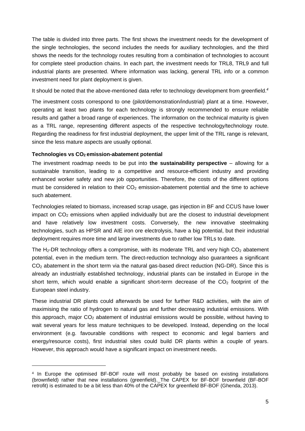The table is divided into three parts. The first shows the investment needs for the development of the single technologies, the second includes the needs for auxiliary technologies, and the third shows the needs for the technology routes resulting from a combination of technologies to account for complete steel production chains. In each part, the investment needs for TRL8, TRL9 and full industrial plants are presented. Where information was lacking, general TRL info or a common investment need for plant deployment is given.

It should be noted that the above-mentioned data refer to technology development from greenfield. *4*

The investment costs correspond to one (pilot/demonstration/industrial) plant at a time. However, operating at least two plants for each technology is strongly recommended to ensure reliable results and gather a broad range of experiences. The information on the technical maturity is given as a TRL range, representing different aspects of the respective technology/technology route. Regarding the readiness for first industrial deployment, the upper limit of the TRL range is relevant, since the less mature aspects are usually optional.

#### **Technologies vs CO2 emission-abatement potential**

The investment roadmap needs to be put into **the sustainability perspective** – allowing for a sustainable transition, leading to a competitive and resource-efficient industry and providing enhanced worker safety and new job opportunities. Therefore, the costs of the different options must be considered in relation to their  $CO<sub>2</sub>$  emission-abatement potential and the time to achieve such abatement.

Technologies related to biomass, increased scrap usage, gas injection in BF and CCUS have lower impact on CO<sup>2</sup> emissions when applied individually but are the closest to industrial development and have relatively low investment costs. Conversely, the new innovative steelmaking technologies, such as HPSR and AIE iron ore electrolysis, have a big potential, but their industrial deployment requires more time and large investments due to rather low TRLs to date.

The H<sub>2</sub>-DR technology offers a compromise, with its moderate TRL and very high  $CO<sub>2</sub>$  abatement potential, even in the medium term. The direct-reduction technology also guarantees a significant CO<sup>2</sup> abatement in the short term via the natural gas-based direct reduction (NG-DR). Since this is already an industrially established technology, industrial plants can be installed in Europe in the short term, which would enable a significant short-term decrease of the  $CO<sub>2</sub>$  footprint of the European steel industry.

These industrial DR plants could afterwards be used for further R&D activities, with the aim of maximising the ratio of hydrogen to natural gas and further decreasing industrial emissions. With this approach, major  $CO<sub>2</sub>$  abatement of industrial emissions would be possible, without having to wait several years for less mature techniques to be developed. Instead, depending on the local environment (e.g. favourable conditions with respect to economic and legal barriers and energy/resource costs), first industrial sites could build DR plants within a couple of years. However, this approach would have a significant impact on investment needs.

<sup>4</sup> In Europe the optimised BF-BOF route will most probably be based on existing installations (brownfield) rather that new installations (greenfield). The CAPEX for BF-BOF brownfield (BF-BOF retrofit) is estimated to be a bit less than 40% of the CAPEX for greenfield BF-BOF (Ghenda, 2013).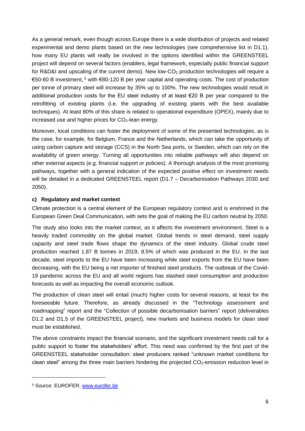As a general remark, even though across Europe there is a wide distribution of projects and related experimental and demo plants based on the new technologies (see comprehensive list in D1.1), how many EU plants will really be involved in the options identified within the GREENSTEEL project will depend on several factors (enablers, legal framework, especially public financial support for R&D&I and upscaling of the current demo). New low-CO<sub>2</sub> production technologies will require a €50-60 B investment, <sup>5</sup> with €80-120 B per year capital and operating costs. The cost of production per tonne of primary steel will increase by 35% up to 100%. The new technologies would result in additional production costs for the EU steel industry of at least €20 B per year compared to the retrofitting of existing plants (i.e. the upgrading of existing plants with the best available techniques). At least 80% of this share is related to operational expenditure (OPEX), mainly due to increased use and higher prices for  $CO<sub>2</sub>$ -lean energy.

Moreover, local conditions can foster the deployment of some of the presented technologies, as is the case, for example, for Belgium, France and the Netherlands, which can take the opportunity of using carbon capture and storage (CCS) in the North Sea ports, or Sweden, which can rely on the availability of green energy. Turning all opportunities into reliable pathways will also depend on other external aspects (e.g. financial support or policies). A thorough analysis of the most promising pathways, together with a general indication of the expected positive effect on investment needs will be detailed in a dedicated GREENSTEEL report (D1.7 - Decarbonisation Pathways 2030 and 2050).

#### **c) Regulatory and market context**

Climate protection is a central element of the European regulatory context and is enshrined in the European Green Deal Communication, with sets the goal of making the EU carbon neutral by 2050.

The study also looks into the market context, as it affects the investment environment. Steel is a heavily traded commodity on the global market. Global trends in steel demand, steel supply capacity and steel trade flows shape the dynamics of the steel industry. Global crude steel production reached 1.87 B tonnes in 2019, 8.5% of which was produced in the EU. In the last decade, steel imports to the EU have been increasing while steel exports from the EU have been decreasing, with the EU being a net importer of finished steel products. The outbreak of the Covid-19 pandemic across the EU and all world regions has slashed steel consumption and production forecasts as well as impacting the overall economic outlook.

The production of clean steel will entail (much) higher costs for several reasons, at least for the foreseeable future. Therefore, as already discussed in the "Technology assessment and roadmapping" report and the "Collection of possible decarbonisation barriers" report (deliverables D1.2 and D1.5 of the GREENSTEEL project), new markets and business models for clean steel must be established.

The above constraints impact the financial scenario, and the significant investment needs call for a public support to foster the stakeholders' effort. This need was confirmed by the first part of the GREENSTEEL stakeholder consultation: steel producers ranked "unknown market conditions for clean steel" among the three main barriers hindering the projected CO<sub>2</sub>-emission reduction level in

<sup>5</sup> Source: EUROFER, [www.eurofer.be](http://www.eurofer.be/)